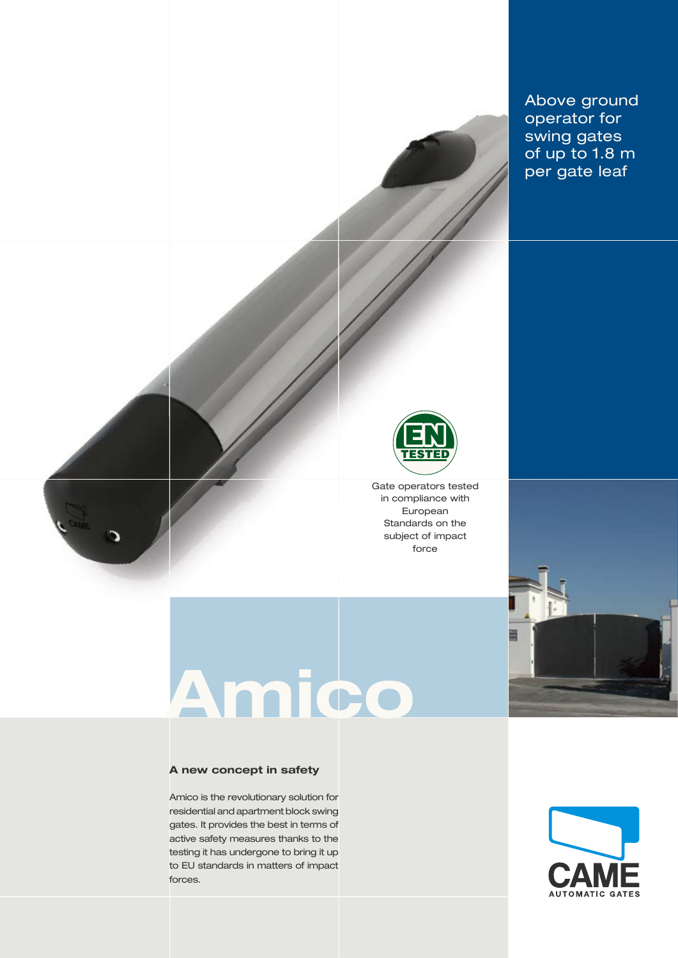

# **Amico**

#### **A new concept in safety**

Amico is the revolutionary solution for residential and apartment block swing gates. It provides the best in terms of active safety measures thanks to the testing it has undergone to bring it up to EU standards in matters of impact forces.



Above ground operator for swing gates of up to 1.8 m per gate leaf